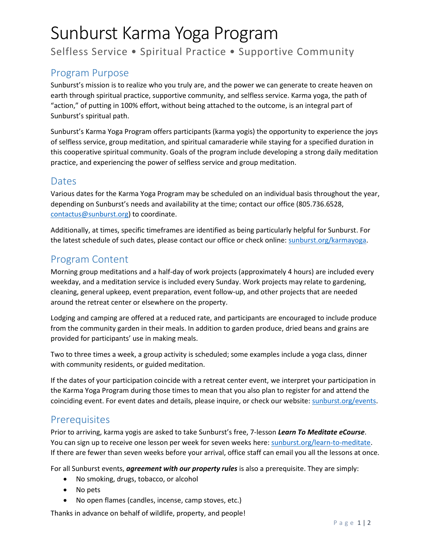# Sunburst Karma Yoga Program

Selfless Service • Spiritual Practice • Supportive Community

## Program Purpose

Sunburst's mission is to realize who you truly are, and the power we can generate to create heaven on earth through spiritual practice, supportive community, and selfless service. Karma yoga, the path of "action," of putting in 100% effort, without being attached to the outcome, is an integral part of Sunburst's spiritual path.

Sunburst's Karma Yoga Program offers participants (karma yogis) the opportunity to experience the joys of selfless service, group meditation, and spiritual camaraderie while staying for a specified duration in this cooperative spiritual community. Goals of the program include developing a strong daily meditation practice, and experiencing the power of selfless service and group meditation.

#### Dates

Various dates for the Karma Yoga Program may be scheduled on an individual basis throughout the year, depending on Sunburst's needs and availability at the time; contact our office (805.736.6528, [contactus@sunburst.org\)](mailto:contactus@sunburst.org) to coordinate.

Additionally, at times, specific timeframes are identified as being particularly helpful for Sunburst. For the latest schedule of such dates, please contact our office or check online: [sunburst.org/karmayoga.](http://www.sunburst.org/karmayoga)

## Program Content

Morning group meditations and a half-day of work projects (approximately 4 hours) are included every weekday, and a meditation service is included every Sunday. Work projects may relate to gardening, cleaning, general upkeep, event preparation, event follow-up, and other projects that are needed around the retreat center or elsewhere on the property.

Lodging and camping are offered at a reduced rate, and participants are encouraged to include produce from the community garden in their meals. In addition to garden produce, dried beans and grains are provided for participants' use in making meals.

Two to three times a week, a group activity is scheduled; some examples include a yoga class, dinner with community residents, or guided meditation.

If the dates of your participation coincide with a retreat center event, we interpret your participation in the Karma Yoga Program during those times to mean that you also plan to register for and attend the coinciding event. For event dates and details, please inquire, or check our website: [sunburst.org/events.](http://www.sunburst.org/upcoming)

#### **Prerequisites**

Prior to arriving, karma yogis are asked to take Sunburst's free, 7-lesson *Learn To Meditate eCourse*. You can sign up to receive one lesson per week for seven weeks here[: sunburst.org/learn-to-meditate.](http://sunburst.org/learn-to-meditate/) If there are fewer than seven weeks before your arrival, office staff can email you all the lessons at once.

For all Sunburst events, *agreement with our property rules* is also a prerequisite. They are simply:

- No smoking, drugs, tobacco, or alcohol
- No pets
- No open flames (candles, incense, camp stoves, etc.)

Thanks in advance on behalf of wildlife, property, and people!